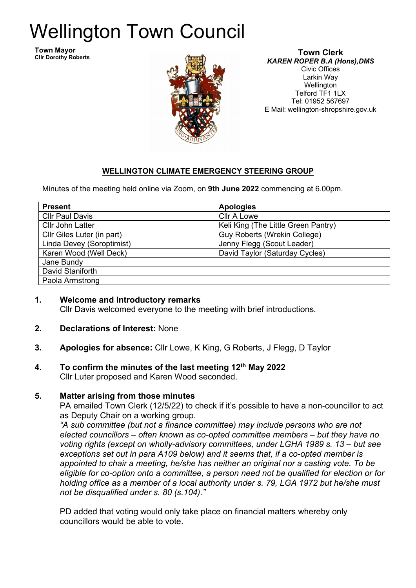# Wellington Town Council

**Town Mayor Cllr Dorothy Roberts**



**Town Clerk** *KAREN ROPER B.A (Hons),DMS* Civic Offices Larkin Way Wellington Telford TF1 1LX Tel: 01952 567697 E Mail: wellington-shropshire.gov.uk

## **WELLINGTON CLIMATE EMERGENCY STEERING GROUP**

Minutes of the meeting held online via Zoom, on **9th June 2022** commencing at 6.00pm.

| <b>Present</b>             | <b>Apologies</b>                    |
|----------------------------|-------------------------------------|
| <b>Cllr Paul Davis</b>     | <b>Cllr A Lowe</b>                  |
| <b>Cllr John Latter</b>    | Keli King (The Little Green Pantry) |
| Cllr Giles Luter (in part) | <b>Guy Roberts (Wrekin College)</b> |
| Linda Devey (Soroptimist)  | Jenny Flegg (Scout Leader)          |
| Karen Wood (Well Deck)     | David Taylor (Saturday Cycles)      |
| Jane Bundy                 |                                     |
| David Staniforth           |                                     |
| Paola Armstrong            |                                     |

- **1. Welcome and Introductory remarks** Cllr Davis welcomed everyone to the meeting with brief introductions.
- **2. Declarations of Interest:** None
- **3. Apologies for absence:** Cllr Lowe, K King, G Roberts, J Flegg, D Taylor

#### **4. To confirm the minutes of the last meeting 12th May 2022** Cllr Luter proposed and Karen Wood seconded.

## **5. Matter arising from those minutes**

PA emailed Town Clerk (12/5/22) to check if it's possible to have a non-councillor to act as Deputy Chair on a working group.

*"A sub committee (but not a finance committee) may include persons who are not elected councillors – often known as co-opted committee members – but they have no voting rights (except on wholly-advisory committees, under LGHA 1989 s. 13 – but see exceptions set out in para A109 below) and it seems that, if a co-opted member is appointed to chair a meeting, he/she has neither an original nor a casting vote. To be eligible for co-option onto a committee, a person need not be qualified for election or for holding office as a member of a local authority under s. 79, LGA 1972 but he/she must not be disqualified under s. 80 (s.104)."*

PD added that voting would only take place on financial matters whereby only councillors would be able to vote.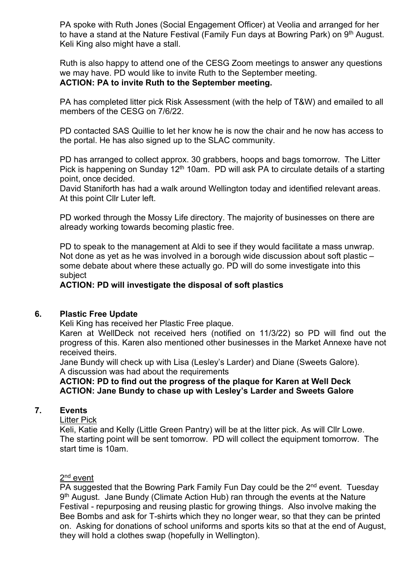PA spoke with Ruth Jones (Social Engagement Officer) at Veolia and arranged for her to have a stand at the Nature Festival (Family Fun days at Bowring Park) on 9<sup>th</sup> August. Keli King also might have a stall.

Ruth is also happy to attend one of the CESG Zoom meetings to answer any questions we may have. PD would like to invite Ruth to the September meeting. **ACTION: PA to invite Ruth to the September meeting.**

PA has completed litter pick Risk Assessment (with the help of T&W) and emailed to all members of the CESG on 7/6/22.

PD contacted SAS Quillie to let her know he is now the chair and he now has access to the portal. He has also signed up to the SLAC community.

PD has arranged to collect approx. 30 grabbers, hoops and bags tomorrow. The Litter Pick is happening on Sunday 12<sup>th</sup> 10am. PD will ask PA to circulate details of a starting point, once decided.

David Staniforth has had a walk around Wellington today and identified relevant areas. At this point Cllr Luter left.

PD worked through the Mossy Life directory. The majority of businesses on there are already working towards becoming plastic free.

PD to speak to the management at Aldi to see if they would facilitate a mass unwrap. Not done as yet as he was involved in a borough wide discussion about soft plastic – some debate about where these actually go. PD will do some investigate into this subject

#### **ACTION: PD will investigate the disposal of soft plastics**

#### **6. Plastic Free Update**

Keli King has received her Plastic Free plaque.

Karen at WellDeck not received hers (notified on 11/3/22) so PD will find out the progress of this. Karen also mentioned other businesses in the Market Annexe have not received theirs.

Jane Bundy will check up with Lisa (Lesley's Larder) and Diane (Sweets Galore). A discussion was had about the requirements

#### **ACTION: PD to find out the progress of the plaque for Karen at Well Deck ACTION: Jane Bundy to chase up with Lesley's Larder and Sweets Galore**

#### **7. Events**

Litter Pick

Keli, Katie and Kelly (Little Green Pantry) will be at the litter pick. As will Cllr Lowe. The starting point will be sent tomorrow. PD will collect the equipment tomorrow. The start time is 10am.

# 2<sup>nd</sup> event

 $\overline{PA}$  suggested that the Bowring Park Family Fun Day could be the  $2^{nd}$  event. Tuesday 9<sup>th</sup> August. Jane Bundy (Climate Action Hub) ran through the events at the Nature Festival - repurposing and reusing plastic for growing things. Also involve making the Bee Bombs and ask for T-shirts which they no longer wear, so that they can be printed on. Asking for donations of school uniforms and sports kits so that at the end of August, they will hold a clothes swap (hopefully in Wellington).